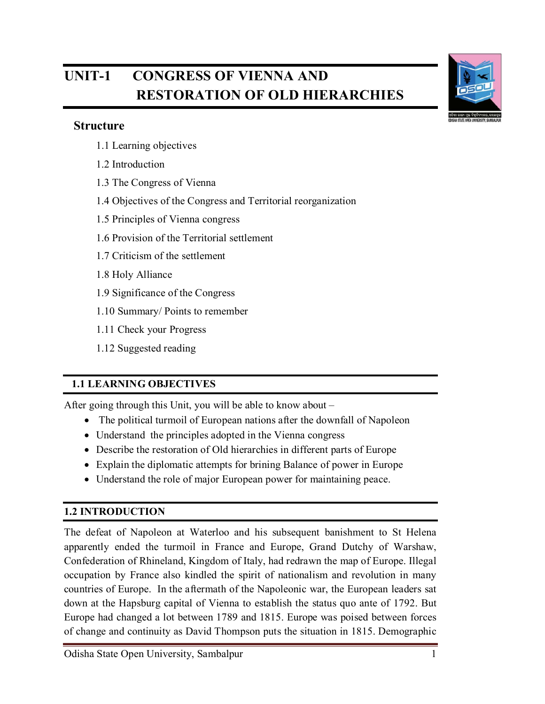# **UNIT-1 CONGRESS OF VIENNA AND RESTORATION OF OLD HIERARCHIES**

#### **Structure**

- 1.1 Learning objectives
- 1.2 Introduction
- 1.3 The Congress of Vienna
- 1.4 Objectives of the Congress and Territorial reorganization
- 1.5 Principles of Vienna congress
- 1.6 Provision of the Territorial settlement
- 1.7 Criticism of the settlement
- 1.8 Holy Alliance
- 1.9 Significance of the Congress
- 1.10 Summary/ Points to remember
- 1.11 Check your Progress
- 1.12 Suggested reading

#### **1.1 LEARNING OBJECTIVES**

After going through this Unit, you will be able to know about –

- The political turmoil of European nations after the downfall of Napoleon
- Understand the principles adopted in the Vienna congress
- Describe the restoration of Old hierarchies in different parts of Europe
- Explain the diplomatic attempts for brining Balance of power in Europe
- Understand the role of major European power for maintaining peace.

#### **1.2 INTRODUCTION**

The defeat of Napoleon at Waterloo and his subsequent banishment to St Helena apparently ended the turmoil in France and Europe, Grand Dutchy of Warshaw, Confederation of Rhineland, Kingdom of Italy, had redrawn the map of Europe. Illegal occupation by France also kindled the spirit of nationalism and revolution in many countries of Europe. In the aftermath of the Napoleonic war, the European leaders sat down at the Hapsburg capital of Vienna to establish the status quo ante of 1792. But Europe had changed a lot between 1789 and 1815. Europe was poised between forces of change and continuity as David Thompson puts the situation in 1815. Demographic

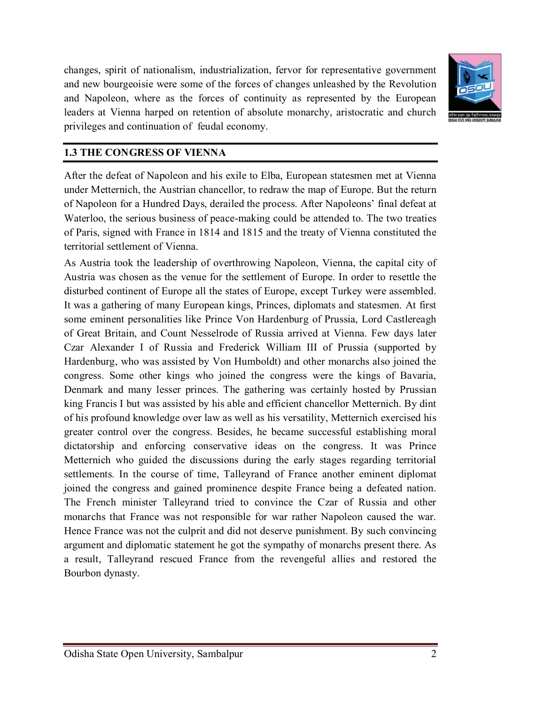changes, spirit of nationalism, industrialization, fervor for representative government and new bourgeoisie were some of the forces of changes unleashed by the Revolution and Napoleon, where as the forces of continuity as represented by the European leaders at Vienna harped on retention of absolute monarchy, aristocratic and church privileges and continuation of feudal economy.



#### **1.3 THE CONGRESS OF VIENNA**

After the defeat of Napoleon and his exile to Elba, European statesmen met at Vienna under Metternich, the Austrian chancellor, to redraw the map of Europe. But the return of Napoleon for a Hundred Days, derailed the process. After Napoleons' final defeat at Waterloo, the serious business of peace-making could be attended to. The two treaties of Paris, signed with France in 1814 and 1815 and the treaty of Vienna constituted the territorial settlement of Vienna.

As Austria took the leadership of overthrowing Napoleon, Vienna, the capital city of Austria was chosen as the venue for the settlement of Europe. In order to resettle the disturbed continent of Europe all the states of Europe, except Turkey were assembled. It was a gathering of many European kings, Princes, diplomats and statesmen. At first some eminent personalities like Prince Von Hardenburg of Prussia, Lord Castlereagh of Great Britain, and Count Nesselrode of Russia arrived at Vienna. Few days later Czar Alexander I of Russia and Frederick William III of Prussia (supported by Hardenburg, who was assisted by Von Humboldt) and other monarchs also joined the congress. Some other kings who joined the congress were the kings of Bavaria, Denmark and many lesser princes. The gathering was certainly hosted by Prussian king Francis I but was assisted by his able and efficient chancellor Metternich. By dint of his profound knowledge over law as well as his versatility, Metternich exercised his greater control over the congress. Besides, he became successful establishing moral dictatorship and enforcing conservative ideas on the congress. It was Prince Metternich who guided the discussions during the early stages regarding territorial settlements. In the course of time, Talleyrand of France another eminent diplomat joined the congress and gained prominence despite France being a defeated nation. The French minister Talleyrand tried to convince the Czar of Russia and other monarchs that France was not responsible for war rather Napoleon caused the war. Hence France was not the culprit and did not deserve punishment. By such convincing argument and diplomatic statement he got the sympathy of monarchs present there. As a result, Talleyrand rescued France from the revengeful allies and restored the Bourbon dynasty.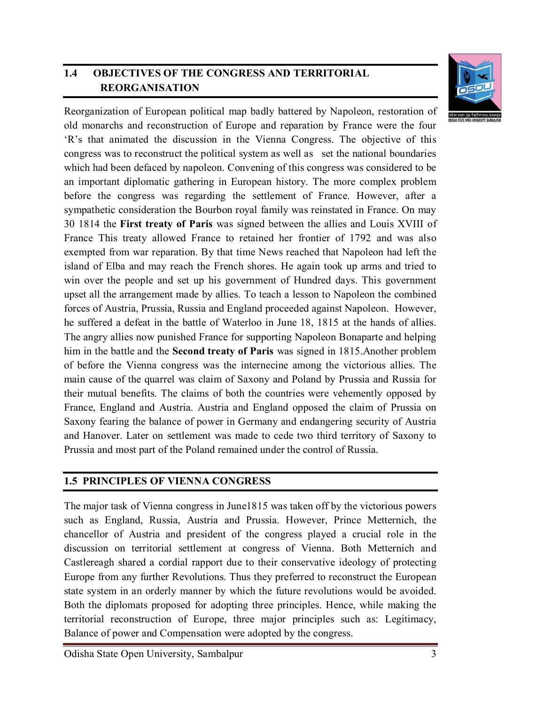# **1.4 OBJECTIVES OF THE CONGRESS AND TERRITORIAL REORGANISATION**



Reorganization of European political map badly battered by Napoleon, restoration of old monarchs and reconstruction of Europe and reparation by France were the four 'R's that animated the discussion in the Vienna Congress. The objective of this congress was to reconstruct the political system as well as set the national boundaries which had been defaced by napoleon. Convening of this congress was considered to be an important diplomatic gathering in European history. The more complex problem before the congress was regarding the settlement of France. However, after a sympathetic consideration the Bourbon royal family was reinstated in France. On may 30 1814 the **First treaty of Paris** was signed between the allies and Louis XVIII of France This treaty allowed France to retained her frontier of 1792 and was also exempted from war reparation. By that time News reached that Napoleon had left the island of Elba and may reach the French shores. He again took up arms and tried to win over the people and set up his government of Hundred days. This government upset all the arrangement made by allies. To teach a lesson to Napoleon the combined forces of Austria, Prussia, Russia and England proceeded against Napoleon. However, he suffered a defeat in the battle of Waterloo in June 18, 1815 at the hands of allies. The angry allies now punished France for supporting Napoleon Bonaparte and helping him in the battle and the **Second treaty of Paris** was signed in 1815.Another problem of before the Vienna congress was the internecine among the victorious allies. The main cause of the quarrel was claim of Saxony and Poland by Prussia and Russia for their mutual benefits. The claims of both the countries were vehemently opposed by France, England and Austria. Austria and England opposed the claim of Prussia on Saxony fearing the balance of power in Germany and endangering security of Austria and Hanover. Later on settlement was made to cede two third territory of Saxony to Prussia and most part of the Poland remained under the control of Russia.

#### **1.5 PRINCIPLES OF VIENNA CONGRESS**

The major task of Vienna congress in June1815 was taken off by the victorious powers such as England, Russia, Austria and Prussia. However, Prince Metternich, the chancellor of Austria and president of the congress played a crucial role in the discussion on territorial settlement at congress of Vienna. Both Metternich and Castlereagh shared a cordial rapport due to their conservative ideology of protecting Europe from any further Revolutions. Thus they preferred to reconstruct the European state system in an orderly manner by which the future revolutions would be avoided. Both the diplomats proposed for adopting three principles. Hence, while making the territorial reconstruction of Europe, three major principles such as: Legitimacy, Balance of power and Compensation were adopted by the congress.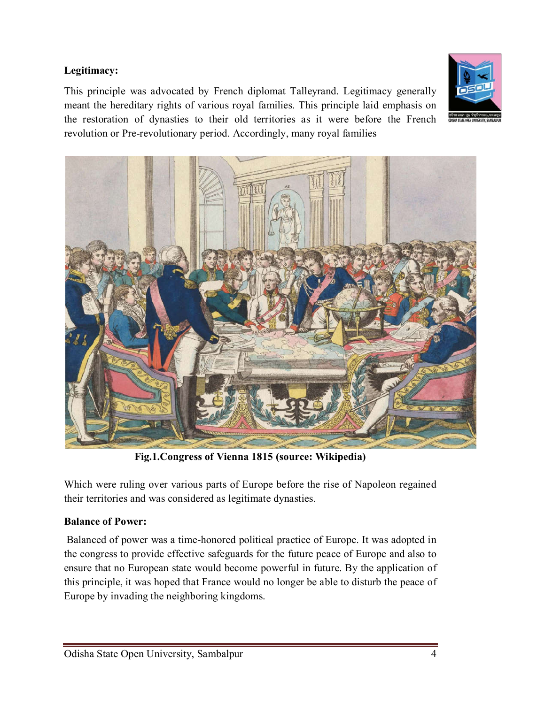#### **Legitimacy:**

This principle was advocated by French diplomat Talleyrand. Legitimacy generally meant the hereditary rights of various royal families. This principle laid emphasis on the restoration of dynasties to their old territories as it were before the French revolution or Pre-revolutionary period. Accordingly, many royal families





**Fig.1.Congress of Vienna 1815 (source: Wikipedia)**

Which were ruling over various parts of Europe before the rise of Napoleon regained their territories and was considered as legitimate dynasties.

#### **Balance of Power:**

Balanced of power was a time-honored political practice of Europe. It was adopted in the congress to provide effective safeguards for the future peace of Europe and also to ensure that no European state would become powerful in future. By the application of this principle, it was hoped that France would no longer be able to disturb the peace of Europe by invading the neighboring kingdoms.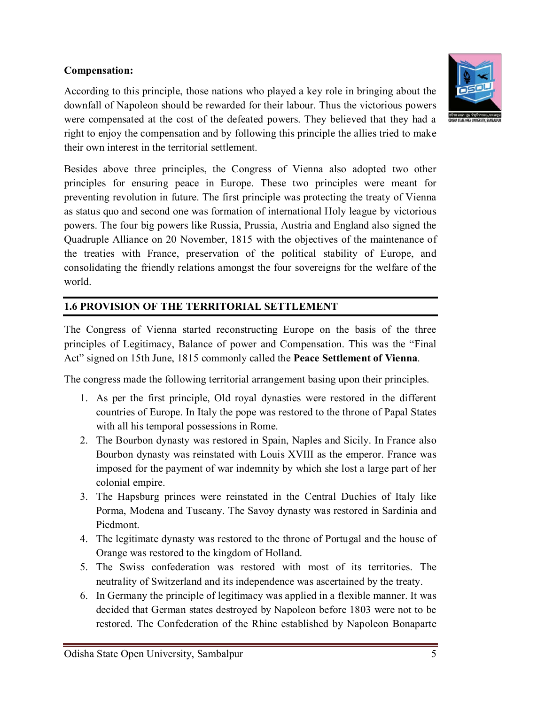#### **Compensation:**

According to this principle, those nations who played a key role in bringing about the downfall of Napoleon should be rewarded for their labour. Thus the victorious powers were compensated at the cost of the defeated powers. They believed that they had a right to enjoy the compensation and by following this principle the allies tried to make their own interest in the territorial settlement.



Besides above three principles, the Congress of Vienna also adopted two other principles for ensuring peace in Europe. These two principles were meant for preventing revolution in future. The first principle was protecting the treaty of Vienna as status quo and second one was formation of international Holy league by victorious powers. The four big powers like Russia, Prussia, Austria and England also signed the Quadruple Alliance on 20 November, 1815 with the objectives of the maintenance of the treaties with France, preservation of the political stability of Europe, and consolidating the friendly relations amongst the four sovereigns for the welfare of the world.

# **1.6 PROVISION OF THE TERRITORIAL SETTLEMENT**

The Congress of Vienna started reconstructing Europe on the basis of the three principles of Legitimacy, Balance of power and Compensation. This was the "Final Act" signed on 15th June, 1815 commonly called the **Peace Settlement of Vienna**.

The congress made the following territorial arrangement basing upon their principles.

- 1. As per the first principle, Old royal dynasties were restored in the different countries of Europe. In Italy the pope was restored to the throne of Papal States with all his temporal possessions in Rome.
- 2. The Bourbon dynasty was restored in Spain, Naples and Sicily. In France also Bourbon dynasty was reinstated with Louis XVIII as the emperor. France was imposed for the payment of war indemnity by which she lost a large part of her colonial empire.
- 3. The Hapsburg princes were reinstated in the Central Duchies of Italy like Porma, Modena and Tuscany. The Savoy dynasty was restored in Sardinia and Piedmont.
- 4. The legitimate dynasty was restored to the throne of Portugal and the house of Orange was restored to the kingdom of Holland.
- 5. The Swiss confederation was restored with most of its territories. The neutrality of Switzerland and its independence was ascertained by the treaty.
- 6. In Germany the principle of legitimacy was applied in a flexible manner. It was decided that German states destroyed by Napoleon before 1803 were not to be restored. The Confederation of the Rhine established by Napoleon Bonaparte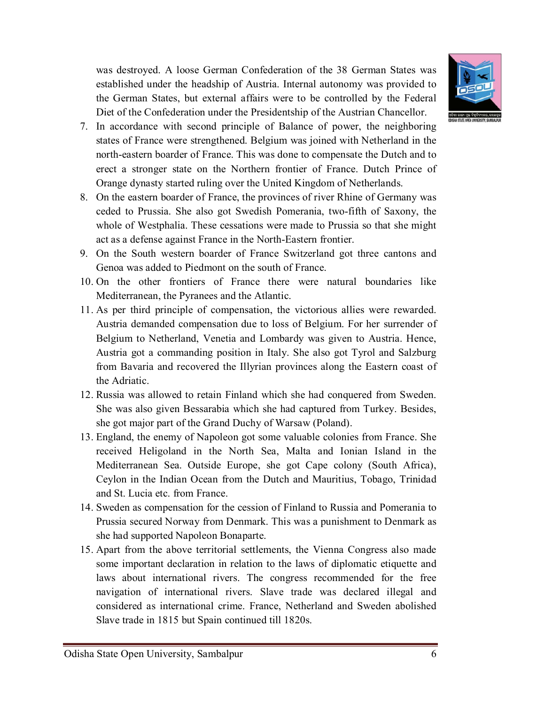

was destroyed. A loose German Confederation of the 38 German States was established under the headship of Austria. Internal autonomy was provided to the German States, but external affairs were to be controlled by the Federal Diet of the Confederation under the Presidentship of the Austrian Chancellor.

- 7. In accordance with second principle of Balance of power, the neighboring states of France were strengthened. Belgium was joined with Netherland in the north-eastern boarder of France. This was done to compensate the Dutch and to erect a stronger state on the Northern frontier of France. Dutch Prince of Orange dynasty started ruling over the United Kingdom of Netherlands.
- 8. On the eastern boarder of France, the provinces of river Rhine of Germany was ceded to Prussia. She also got Swedish Pomerania, two-fifth of Saxony, the whole of Westphalia. These cessations were made to Prussia so that she might act as a defense against France in the North-Eastern frontier.
- 9. On the South western boarder of France Switzerland got three cantons and Genoa was added to Piedmont on the south of France.
- 10. On the other frontiers of France there were natural boundaries like Mediterranean, the Pyranees and the Atlantic.
- 11. As per third principle of compensation, the victorious allies were rewarded. Austria demanded compensation due to loss of Belgium. For her surrender of Belgium to Netherland, Venetia and Lombardy was given to Austria. Hence, Austria got a commanding position in Italy. She also got Tyrol and Salzburg from Bavaria and recovered the Illyrian provinces along the Eastern coast of the Adriatic.
- 12. Russia was allowed to retain Finland which she had conquered from Sweden. She was also given Bessarabia which she had captured from Turkey. Besides, she got major part of the Grand Duchy of Warsaw (Poland).
- 13. England, the enemy of Napoleon got some valuable colonies from France. She received Heligoland in the North Sea, Malta and Ionian Island in the Mediterranean Sea. Outside Europe, she got Cape colony (South Africa), Ceylon in the Indian Ocean from the Dutch and Mauritius, Tobago, Trinidad and St. Lucia etc. from France.
- 14. Sweden as compensation for the cession of Finland to Russia and Pomerania to Prussia secured Norway from Denmark. This was a punishment to Denmark as she had supported Napoleon Bonaparte.
- 15. Apart from the above territorial settlements, the Vienna Congress also made some important declaration in relation to the laws of diplomatic etiquette and laws about international rivers. The congress recommended for the free navigation of international rivers. Slave trade was declared illegal and considered as international crime. France, Netherland and Sweden abolished Slave trade in 1815 but Spain continued till 1820s.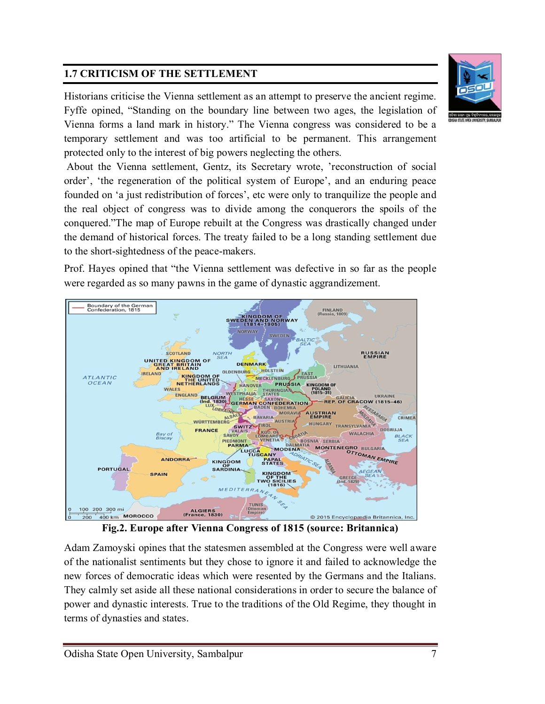# **1.7 CRITICISM OF THE SETTLEMENT**

Historians criticise the Vienna settlement as an attempt to preserve the ancient regime. Fyffe opined, "Standing on the boundary line between two ages, the legislation of Vienna forms a land mark in history." The Vienna congress was considered to be a temporary settlement and was too artificial to be permanent. This arrangement protected only to the interest of big powers neglecting the others.

About the Vienna settlement, Gentz, its Secretary wrote, 'reconstruction of social order', 'the regeneration of the political system of Europe', and an enduring peace founded on 'a just redistribution of forces', etc were only to tranquilize the people and the real object of congress was to divide among the conquerors the spoils of the conquered."The map of Europe rebuilt at the Congress was drastically changed under the demand of historical forces. The treaty failed to be a long standing settlement due to the short-sightedness of the peace-makers.

Prof. Hayes opined that "the Vienna settlement was defective in so far as the people were regarded as so many pawns in the game of dynastic aggrandizement.



Adam Zamoyski opines that the statesmen assembled at the Congress were well aware of the nationalist sentiments but they chose to ignore it and failed to acknowledge the new forces of democratic ideas which were resented by the Germans and the Italians. They calmly set aside all these national considerations in order to secure the balance of power and dynastic interests. True to the traditions of the Old Regime, they thought in terms of dynasties and states.



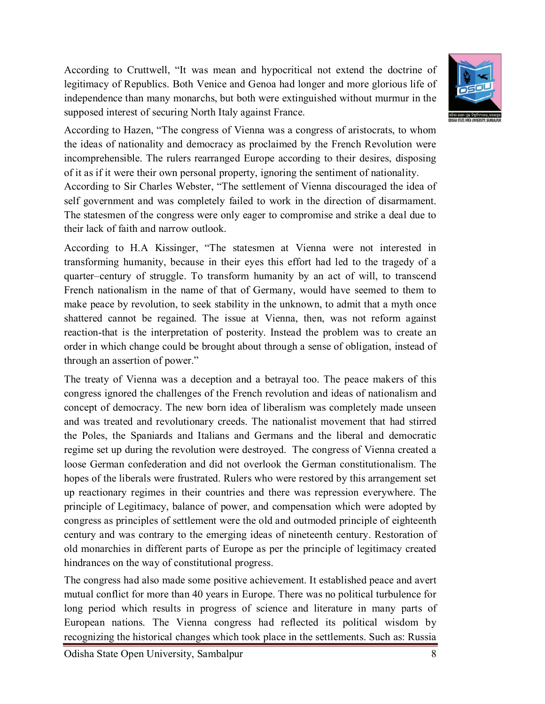According to Cruttwell, "It was mean and hypocritical not extend the doctrine of legitimacy of Republics. Both Venice and Genoa had longer and more glorious life of independence than many monarchs, but both were extinguished without murmur in the supposed interest of securing North Italy against France.



According to Hazen, "The congress of Vienna was a congress of aristocrats, to whom the ideas of nationality and democracy as proclaimed by the French Revolution were incomprehensible. The rulers rearranged Europe according to their desires, disposing of it as if it were their own personal property, ignoring the sentiment of nationality.

According to Sir Charles Webster, "The settlement of Vienna discouraged the idea of self government and was completely failed to work in the direction of disarmament. The statesmen of the congress were only eager to compromise and strike a deal due to their lack of faith and narrow outlook.

According to H.A Kissinger, "The statesmen at Vienna were not interested in transforming humanity, because in their eyes this effort had led to the tragedy of a quarter–century of struggle. To transform humanity by an act of will, to transcend French nationalism in the name of that of Germany, would have seemed to them to make peace by revolution, to seek stability in the unknown, to admit that a myth once shattered cannot be regained. The issue at Vienna, then, was not reform against reaction-that is the interpretation of posterity. Instead the problem was to create an order in which change could be brought about through a sense of obligation, instead of through an assertion of power."

The treaty of Vienna was a deception and a betrayal too. The peace makers of this congress ignored the challenges of the French revolution and ideas of nationalism and concept of democracy. The new born idea of liberalism was completely made unseen and was treated and revolutionary creeds. The nationalist movement that had stirred the Poles, the Spaniards and Italians and Germans and the liberal and democratic regime set up during the revolution were destroyed. The congress of Vienna created a loose German confederation and did not overlook the German constitutionalism. The hopes of the liberals were frustrated. Rulers who were restored by this arrangement set up reactionary regimes in their countries and there was repression everywhere. The principle of Legitimacy, balance of power, and compensation which were adopted by congress as principles of settlement were the old and outmoded principle of eighteenth century and was contrary to the emerging ideas of nineteenth century. Restoration of old monarchies in different parts of Europe as per the principle of legitimacy created hindrances on the way of constitutional progress.

The congress had also made some positive achievement. It established peace and avert mutual conflict for more than 40 years in Europe. There was no political turbulence for long period which results in progress of science and literature in many parts of European nations. The Vienna congress had reflected its political wisdom by recognizing the historical changes which took place in the settlements. Such as: Russia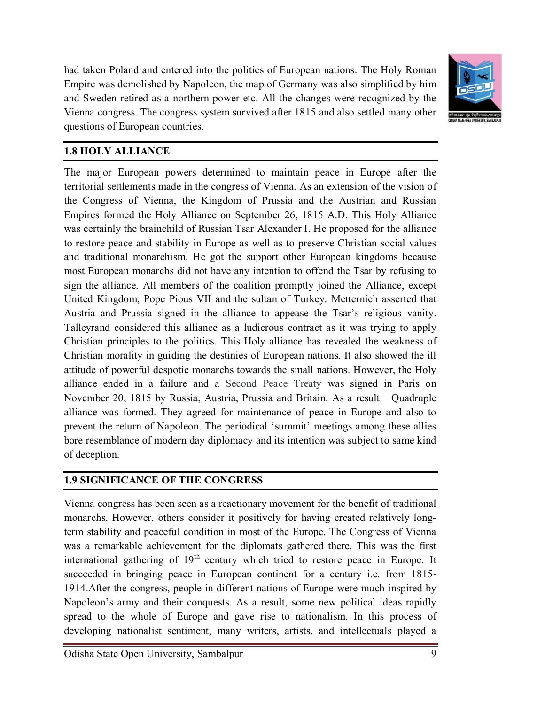had taken Poland and entered into the politics of European nations. The Holy Roman Empire was demolished by Napoleon, the map of Germany was also simplified by him and Sweden retired as a northern power etc. All the changes were recognized by the Vienna congress. The congress system survived after 1815 and also settled many other questions of European countries.



#### **1.8 HOLY ALLIANCE**

The major European powers determined to maintain peace in Europe after the territorial settlements made in the congress of Vienna. As an extension of the vision of the Congress of Vienna, the Kingdom of Prussia and the Austrian and Russian Empires formed the Holy Alliance on September 26, 1815 A.D. This Holy Alliance was certainly the brainchild of Russian Tsar Alexander I. He proposed for the alliance to restore peace and stability in Europe as well as to preserve Christian social values and traditional monarchism. He got the support other European kingdoms because most European monarchs did not have any intention to offend the Tsar by refusing to sign the alliance. All members of the coalition promptly joined the Alliance, except United Kingdom, Pope Pious VII and the sultan of Turkey. Metternich asserted that Austria and Prussia signed in the alliance to appease the Tsar's religious vanity. Talleyrand considered this alliance as a ludicrous contract as it was trying to apply Christian principles to the politics. This Holy alliance has revealed the weakness of Christian morality in guiding the destinies of European nations. It also showed the ill attitude of powerful despotic monarchs towards the small nations. However, the Holy alliance ended in a failure and a Second Peace Treaty was signed in Paris on November 20, 1815 by Russia, Austria, Prussia and Britain. As a result Quadruple alliance was formed. They agreed for maintenance of peace in Europe and also to prevent the return of Napoleon. The periodical 'summit' meetings among these allies bore resemblance of modern day diplomacy and its intention was subject to same kind of deception.

#### **1.9 SIGNIFICANCE OF THE CONGRESS**

Vienna congress has been seen as a reactionary movement for the benefit of traditional monarchs. However, others consider it positively for having created relatively longterm stability and peaceful condition in most of the Europe. The Congress of Vienna was a remarkable achievement for the diplomats gathered there. This was the first international gathering of  $19<sup>th</sup>$  century which tried to restore peace in Europe. It succeeded in bringing peace in European continent for a century i.e. from 1815- 1914.After the congress, people in different nations of Europe were much inspired by Napoleon's army and their conquests. As a result, some new political ideas rapidly spread to the whole of Europe and gave rise to nationalism. In this process of developing nationalist sentiment, many writers, artists, and intellectuals played a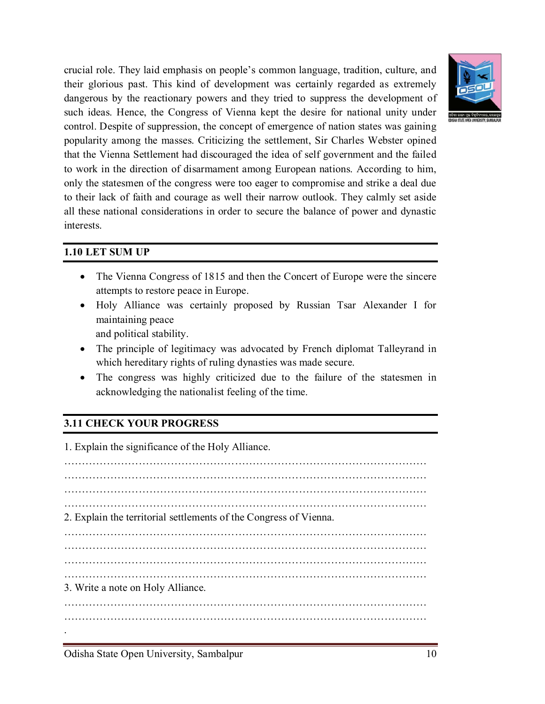

crucial role. They laid emphasis on people's common language, tradition, culture, and their glorious past. This kind of development was certainly regarded as extremely dangerous by the reactionary powers and they tried to suppress the development of such ideas. Hence, the Congress of Vienna kept the desire for national unity under control. Despite of suppression, the concept of emergence of nation states was gaining popularity among the masses. Criticizing the settlement, Sir Charles Webster opined that the Vienna Settlement had discouraged the idea of self government and the failed to work in the direction of disarmament among European nations. According to him, only the statesmen of the congress were too eager to compromise and strike a deal due to their lack of faith and courage as well their narrow outlook. They calmly set aside all these national considerations in order to secure the balance of power and dynastic interests.

#### **1.10 LET SUM UP**

- The Vienna Congress of 1815 and then the Concert of Europe were the sincere attempts to restore peace in Europe.
- Holy Alliance was certainly proposed by Russian Tsar Alexander I for maintaining peace

and political stability.

- The principle of legitimacy was advocated by French diplomat Talleyrand in which hereditary rights of ruling dynasties was made secure.
- The congress was highly criticized due to the failure of the statesmen in acknowledging the nationalist feeling of the time.

# **3.11 CHECK YOUR PROGRESS**

1. Explain the significance of the Holy Alliance. ………………………………………………………………………………………… ………………………………………………………………………………………… ………………………………………………………………………………………… ………………………………………………………………………………………… 2. Explain the territorial settlements of the Congress of Vienna. ………………………………………………………………………………………… ………………………………………………………………………………………… ………………………………………………………………………………………… ………………………………………………………………………………………… 3. Write a note on Holy Alliance. ………………………………………………………………………………………… ………………………………………………………………………………………… .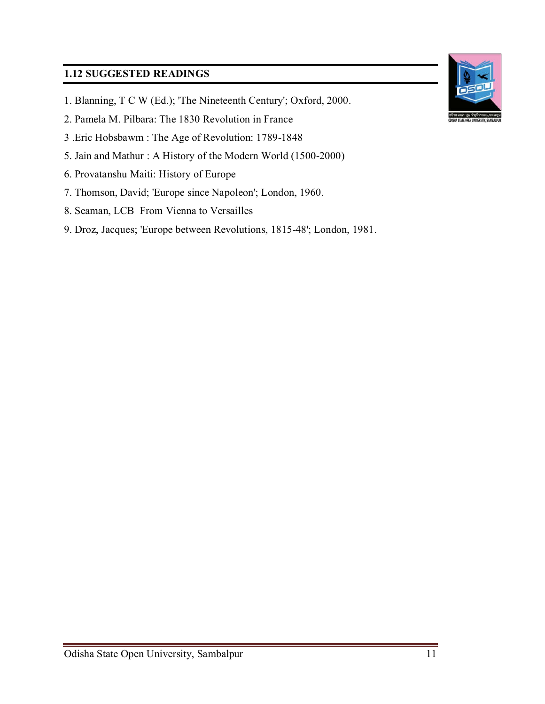## **1.12 SUGGESTED READINGS**

- 1. Blanning, T C W (Ed.); 'The Nineteenth Century'; Oxford, 2000.
- 2. Pamela M. Pilbara: The 1830 Revolution in France
- 3 .Eric Hobsbawm : The Age of Revolution: 1789-1848
- 5. Jain and Mathur : A History of the Modern World (1500-2000)
- 6. Provatanshu Maiti: History of Europe
- 7. Thomson, David; 'Europe since Napoleon'; London, 1960.
- 8. Seaman, LCB From Vienna to Versailles
- 9. Droz, Jacques; 'Europe between Revolutions, 1815-48'; London, 1981.

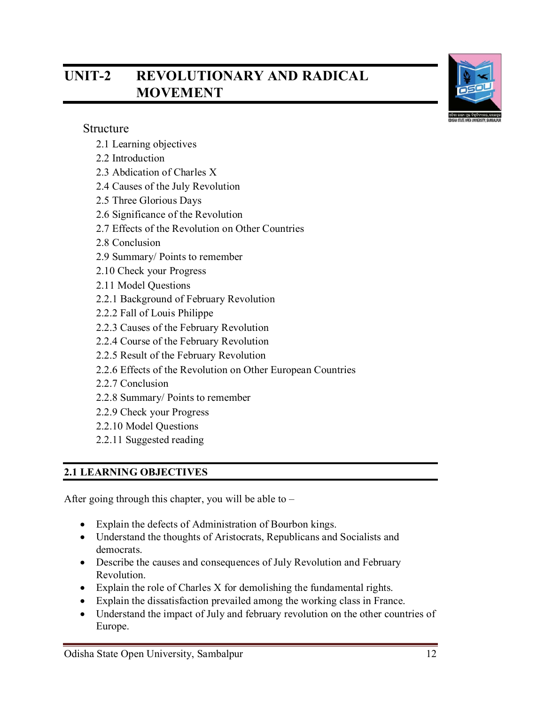# **UNIT-2 REVOLUTIONARY AND RADICAL MOVEMENT**



#### Structure

- 2.1 Learning objectives
- 2.2 Introduction
- 2.3 Abdication of Charles X
- 2.4 Causes of the July Revolution
- 2.5 Three Glorious Days
- 2.6 Significance of the Revolution
- 2.7 Effects of the Revolution on Other Countries
- 2.8 Conclusion
- 2.9 Summary/ Points to remember
- 2.10 Check your Progress
- 2.11 Model Questions
- 2.2.1 Background of February Revolution
- 2.2.2 Fall of Louis Philippe
- 2.2.3 Causes of the February Revolution
- 2.2.4 Course of the February Revolution
- 2.2.5 Result of the February Revolution
- 2.2.6 Effects of the Revolution on Other European Countries
- 2.2.7 Conclusion
- 2.2.8 Summary/ Points to remember
- 2.2.9 Check your Progress
- 2.2.10 Model Questions
- 2.2.11 Suggested reading

# **2.1 LEARNING OBJECTIVES**

After going through this chapter, you will be able to  $-$ 

- Explain the defects of Administration of Bourbon kings.
- Understand the thoughts of Aristocrats, Republicans and Socialists and democrats.
- Describe the causes and consequences of July Revolution and February Revolution.
- Explain the role of Charles  $X$  for demolishing the fundamental rights.
- Explain the dissatisfaction prevailed among the working class in France.
- Understand the impact of July and february revolution on the other countries of Europe.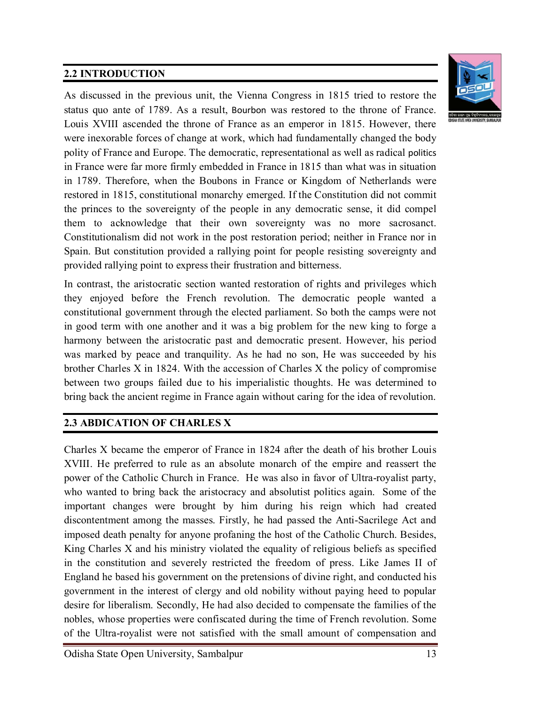## **2.2 INTRODUCTION**



As discussed in the previous unit, the Vienna Congress in 1815 tried to restore the status quo ante of 1789. As a result, Bourbon was restored to the throne of France. Louis XVIII ascended the throne of France as an emperor in 1815. However, there were inexorable forces of change at work, which had fundamentally changed the body polity of France and Europe. The democratic, representational as well as radical politics in France were far more firmly embedded in France in 1815 than what was in situation in 1789. Therefore, when the Boubons in France or Kingdom of Netherlands were restored in 1815, constitutional monarchy emerged. If the Constitution did not commit the princes to the sovereignty of the people in any democratic sense, it did compel them to acknowledge that their own sovereignty was no more sacrosanct. Constitutionalism did not work in the post restoration period; neither in France nor in Spain. But constitution provided a rallying point for people resisting sovereignty and provided rallying point to express their frustration and bitterness.

In contrast, the aristocratic section wanted restoration of rights and privileges which they enjoyed before the French revolution. The democratic people wanted a constitutional government through the elected parliament. So both the camps were not in good term with one another and it was a big problem for the new king to forge a harmony between the aristocratic past and democratic present. However, his period was marked by peace and tranquility. As he had no son, He was succeeded by his brother Charles X in 1824. With the accession of Charles X the policy of compromise between two groups failed due to his imperialistic thoughts. He was determined to bring back the ancient regime in France again without caring for the idea of revolution.

#### **2.3 ABDICATION OF CHARLES X**

Charles X became the emperor of France in 1824 after the death of his brother Louis XVIII. He preferred to rule as an absolute monarch of the empire and reassert the power of the Catholic Church in France. He was also in favor of Ultra-royalist party, who wanted to bring back the aristocracy and absolutist politics again. Some of the important changes were brought by him during his reign which had created discontentment among the masses. Firstly, he had passed the Anti-Sacrilege Act and imposed death penalty for anyone profaning the host of the Catholic Church. Besides, King Charles X and his ministry violated the equality of religious beliefs as specified in the constitution and severely restricted the freedom of press. Like James II of England he based his government on the pretensions of divine right, and conducted his government in the interest of clergy and old nobility without paying heed to popular desire for liberalism. Secondly, He had also decided to compensate the families of the nobles, whose properties were confiscated during the time of French revolution. Some of the Ultra-royalist were not satisfied with the small amount of compensation and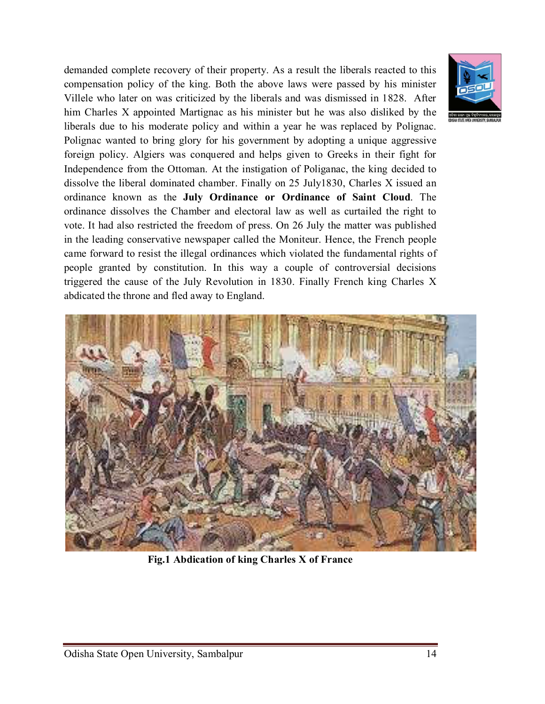demanded complete recovery of their property. As a result the liberals reacted to this compensation policy of the king. Both the above laws were passed by his minister Villele who later on was criticized by the liberals and was dismissed in 1828. After him Charles X appointed Martignac as his minister but he was also disliked by the liberals due to his moderate policy and within a year he was replaced by Polignac. Polignac wanted to bring glory for his government by adopting a unique aggressive foreign policy. Algiers was conquered and helps given to Greeks in their fight for Independence from the Ottoman. At the instigation of Poliganac, the king decided to dissolve the liberal dominated chamber. Finally on 25 July1830, Charles X issued an ordinance known as the **July Ordinance or Ordinance of Saint Cloud**. The ordinance dissolves the Chamber and electoral law as well as curtailed the right to vote. It had also restricted the freedom of press. On 26 July the matter was published in the leading conservative newspaper called the Moniteur. Hence, the French people came forward to resist the illegal ordinances which violated the fundamental rights of people granted by constitution. In this way a couple of controversial decisions triggered the cause of the July Revolution in 1830. Finally French king Charles X abdicated the throne and fled away to England.



**Fig.1 Abdication of king Charles X of France**

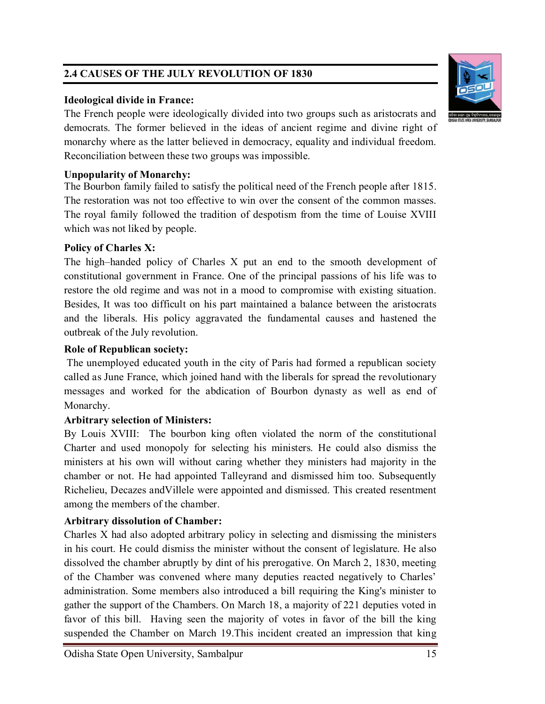# **2.4 CAUSES OF THE JULY REVOLUTION OF 1830**

#### **Ideological divide in France:**

The French people were ideologically divided into two groups such as aristocrats and democrats. The former believed in the ideas of ancient regime and divine right of monarchy where as the latter believed in democracy, equality and individual freedom. Reconciliation between these two groups was impossible.

#### **Unpopularity of Monarchy:**

The Bourbon family failed to satisfy the political need of the French people after 1815. The restoration was not too effective to win over the consent of the common masses. The royal family followed the tradition of despotism from the time of Louise XVIII which was not liked by people.

## **Policy of Charles X:**

The high–handed policy of Charles X put an end to the smooth development of constitutional government in France. One of the principal passions of his life was to restore the old regime and was not in a mood to compromise with existing situation. Besides, It was too difficult on his part maintained a balance between the aristocrats and the liberals. His policy aggravated the fundamental causes and hastened the outbreak of the July revolution.

# **Role of Republican society:**

The unemployed educated youth in the city of Paris had formed a republican society called as June France, which joined hand with the liberals for spread the revolutionary messages and worked for the abdication of Bourbon dynasty as well as end of Monarchy.

# **Arbitrary selection of Ministers:**

By Louis XVIII: The bourbon king often violated the norm of the constitutional Charter and used monopoly for selecting his ministers. He could also dismiss the ministers at his own will without caring whether they ministers had majority in the chamber or not. He had appointed Talleyrand and dismissed him too. Subsequently Richelieu, Decazes andVillele were appointed and dismissed. This created resentment among the members of the chamber.

# **Arbitrary dissolution of Chamber:**

Charles X had also adopted arbitrary policy in selecting and dismissing the ministers in his court. He could dismiss the minister without the consent of legislature. He also dissolved the chamber abruptly by dint of his prerogative. On March 2, 1830, meeting of the Chamber was convened where many deputies reacted negatively to Charles' administration. Some members also introduced a bill requiring the King's minister to gather the support of the Chambers. On March 18, a majority of 221 deputies voted in favor of this bill. Having seen the majority of votes in favor of the bill the king suspended the Chamber on March 19.This incident created an impression that king



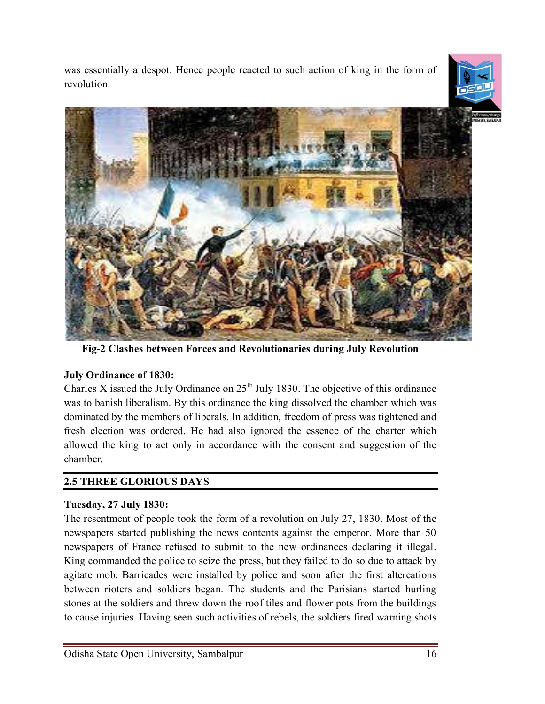was essentially a despot. Hence people reacted to such action of king in the form of revolution.





**Fig-2 Clashes between Forces and Revolutionaries during July Revolution**

#### **July Ordinance of 1830:**

Charles X issued the July Ordinance on  $25<sup>th</sup>$  July 1830. The objective of this ordinance was to banish liberalism. By this ordinance the king dissolved the chamber which was dominated by the members of liberals. In addition, freedom of press was tightened and fresh election was ordered. He had also ignored the essence of the charter which allowed the king to act only in accordance with the consent and suggestion of the chamber.

# **2.5 THREE GLORIOUS DAYS**

#### **Tuesday, 27 July 1830:**

The resentment of people took the form of a revolution on July 27, 1830. Most of the newspapers started publishing the news contents against the emperor. More than 50 newspapers of France refused to submit to the new ordinances declaring it illegal. King commanded the police to seize the press, but they failed to do so due to attack by agitate mob. Barricades were installed by police and soon after the first altercations between rioters and soldiers began. The students and the Parisians started hurling stones at the soldiers and threw down the roof tiles and flower pots from the buildings to cause injuries. Having seen such activities of rebels, the soldiers fired warning shots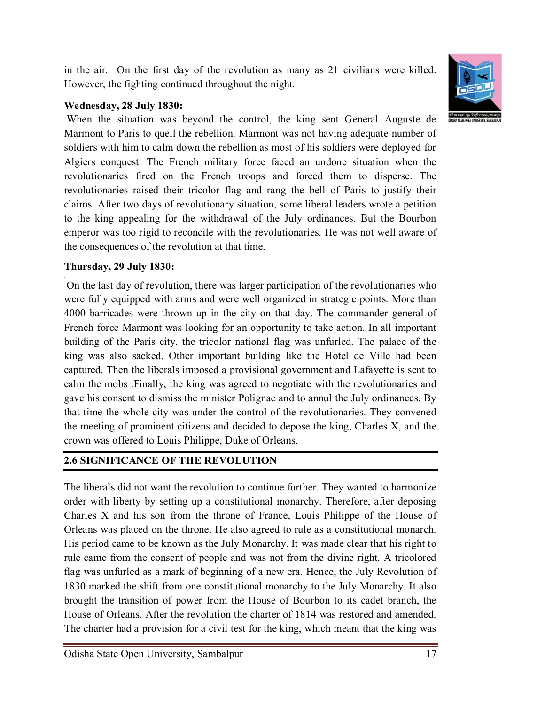in the air. On the first day of the revolution as many as 21 civilians were killed. However, the fighting continued throughout the night.

#### **Wednesday, 28 July 1830:**

When the situation was beyond the control, the king sent General Auguste de Marmont to Paris to quell the rebellion. Marmont was not having adequate number of soldiers with him to calm down the rebellion as most of his soldiers were deployed for Algiers conquest. The French military force faced an undone situation when the revolutionaries fired on the French troops and forced them to disperse. The revolutionaries raised their tricolor flag and rang the bell of Paris to justify their claims. After two days of revolutionary situation, some liberal leaders wrote a petition to the king appealing for the withdrawal of the July ordinances. But the Bourbon emperor was too rigid to reconcile with the revolutionaries. He was not well aware of the consequences of the revolution at that time.

#### **Thursday, 29 July 1830:**

**,**

On the last day of revolution, there was larger participation of the revolutionaries who were fully equipped with arms and were well organized in strategic points. More than 4000 barricades were thrown up in the city on that day. The commander general of French force Marmont was looking for an opportunity to take action. In all important building of the Paris city, the tricolor national flag was unfurled. The palace of the king was also sacked. Other important building like the Hotel de Ville had been captured. Then the liberals imposed a provisional government and Lafayette is sent to calm the mobs .Finally, the king was agreed to negotiate with the revolutionaries and gave his consent to dismiss the minister Polignac and to annul the July ordinances. By that time the whole city was under the control of the revolutionaries. They convened the meeting of prominent citizens and decided to depose the king, Charles X, and the crown was offered to Louis Philippe, Duke of Orleans.

#### **2.6 SIGNIFICANCE OF THE REVOLUTION**

The liberals did not want the revolution to continue further. They wanted to harmonize order with liberty by setting up a constitutional monarchy. Therefore, after deposing Charles X and his son from the throne of France, Louis Philippe of the House of Orleans was placed on the throne. He also agreed to rule as a constitutional monarch. His period came to be known as the July Monarchy. It was made clear that his right to rule came from the consent of people and was not from the divine right. A tricolored flag was unfurled as a mark of beginning of a new era. Hence, the July Revolution of 1830 marked the shift from one constitutional monarchy to the July Monarchy. It also brought the transition of power from the House of Bourbon to its cadet branch, the House of Orleans. After the revolution the charter of 1814 was restored and amended. The charter had a provision for a civil test for the king, which meant that the king was

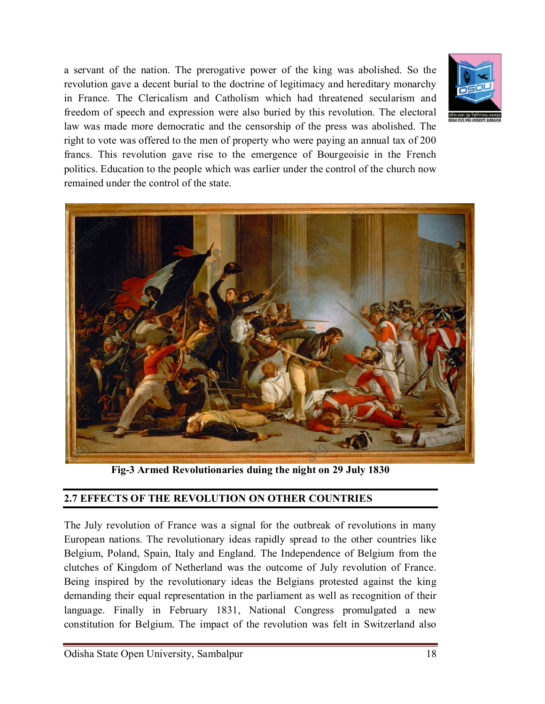a servant of the nation. The prerogative power of the king was abolished. So the revolution gave a decent burial to the doctrine of legitimacy and hereditary monarchy in France. The Clericalism and Catholism which had threatened secularism and freedom of speech and expression were also buried by this revolution. The electoral law was made more democratic and the censorship of the press was abolished. The right to vote was offered to the men of property who were paying an annual tax of 200 francs. This revolution gave rise to the emergence of Bourgeoisie in the French politics. Education to the people which was earlier under the control of the church now remained under the control of the state.





**Fig-3 Armed Revolutionaries duing the night on 29 July 1830**

#### **2.7 EFFECTS OF THE REVOLUTION ON OTHER COUNTRIES**

The July revolution of France was a signal for the outbreak of revolutions in many European nations. The revolutionary ideas rapidly spread to the other countries like Belgium, Poland, Spain, Italy and England. The Independence of Belgium from the clutches of Kingdom of Netherland was the outcome of July revolution of France. Being inspired by the revolutionary ideas the Belgians protested against the king demanding their equal representation in the parliament as well as recognition of their language. Finally in February 1831, National Congress promulgated a new constitution for Belgium. The impact of the revolution was felt in Switzerland also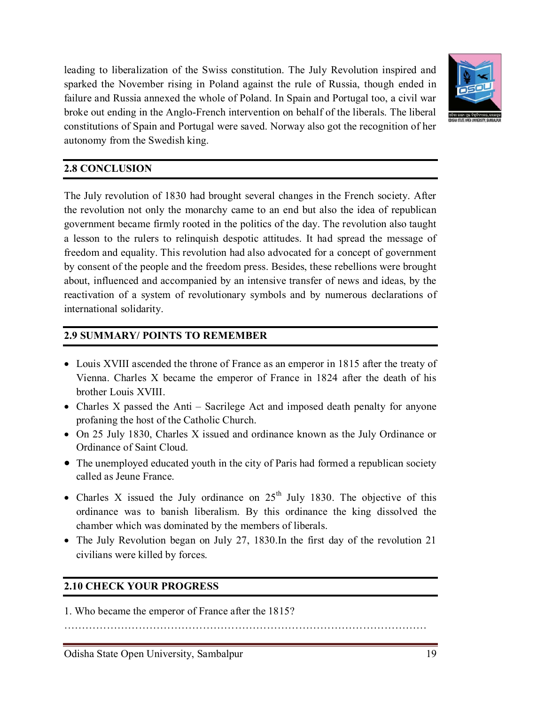leading to liberalization of the Swiss constitution. The July Revolution inspired and sparked the November rising in Poland against the rule of Russia, though ended in failure and Russia annexed the whole of Poland. In Spain and Portugal too, a civil war broke out ending in the Anglo-French intervention on behalf of the liberals. The liberal constitutions of Spain and Portugal were saved. Norway also got the recognition of her



#### **2.8 CONCLUSION**

autonomy from the Swedish king.

The July revolution of 1830 had brought several changes in the French society. After the revolution not only the monarchy came to an end but also the idea of republican government became firmly rooted in the politics of the day. The revolution also taught a lesson to the rulers to relinquish despotic attitudes. It had spread the message of freedom and equality. This revolution had also advocated for a concept of government by consent of the people and the freedom press. Besides, these rebellions were brought about, influenced and accompanied by an intensive transfer of news and ideas, by the reactivation of a system of revolutionary symbols and by numerous declarations of international solidarity.

#### **2.9 SUMMARY/ POINTS TO REMEMBER**

- Louis XVIII ascended the throne of France as an emperor in 1815 after the treaty of Vienna. Charles X became the emperor of France in 1824 after the death of his brother Louis XVIII.
- Charles X passed the Anti Sacrilege Act and imposed death penalty for anyone profaning the host of the Catholic Church.
- On 25 July 1830, Charles X issued and ordinance known as the July Ordinance or Ordinance of Saint Cloud.
- The unemployed educated youth in the city of Paris had formed a republican society called as Jeune France.
- Charles X issued the July ordinance on  $25<sup>th</sup>$  July 1830. The objective of this ordinance was to banish liberalism. By this ordinance the king dissolved the chamber which was dominated by the members of liberals.
- The July Revolution began on July 27, 1830.In the first day of the revolution 21 civilians were killed by forces.

#### **2.10 CHECK YOUR PROGRESS**

1. Who became the emperor of France after the 1815?

…………………………………………………………………………………………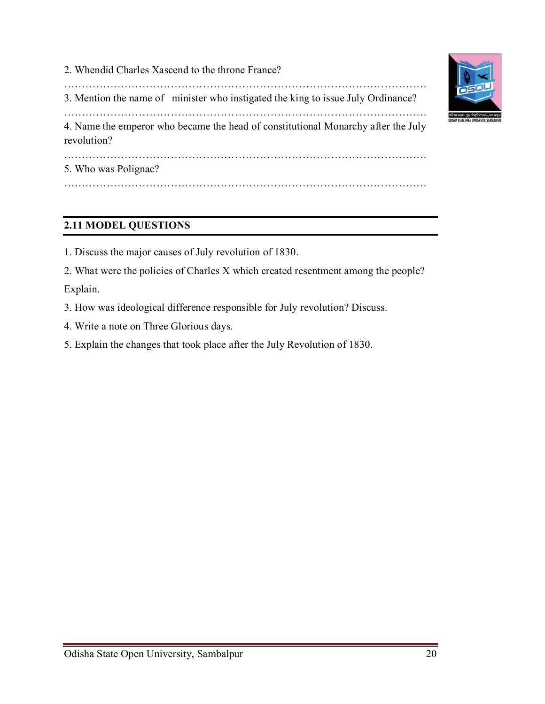2. Whendid Charles Xascend to the throne France? ………………………………………………………………………………………… 3. Mention the name of minister who instigated the king to issue July Ordinance? ………………………………………………………………………………………… 4. Name the emperor who became the head of constitutional Monarchy after the July revolution? ………………………………………………………………………………………… 5. Who was Polignac? …………………………………………………………………………………………

# **2.11 MODEL QUESTIONS**

- 1. Discuss the major causes of July revolution of 1830.
- 2. What were the policies of Charles X which created resentment among the people?

Explain.

- 3. How was ideological difference responsible for July revolution? Discuss.
- 4. Write a note on Three Glorious days.
- 5. Explain the changes that took place after the July Revolution of 1830.

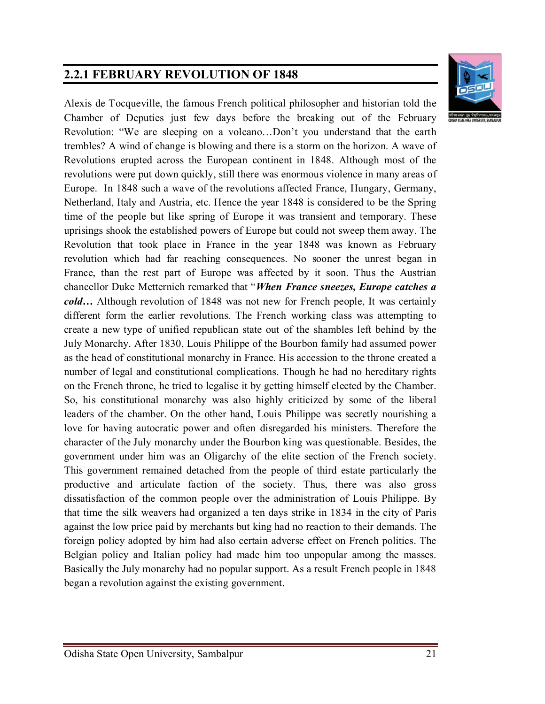# **2.2.1 FEBRUARY REVOLUTION OF 1848**



Alexis de Tocqueville, the famous French political philosopher and historian told the Chamber of Deputies just few days before the breaking out of the February Revolution: "We are sleeping on a volcano…Don't you understand that the earth trembles? A wind of change is blowing and there is a storm on the horizon. A wave of Revolutions erupted across the European continent in 1848. Although most of the revolutions were put down quickly, still there was enormous violence in many areas of Europe. In 1848 such a wave of the revolutions affected France, Hungary, Germany, Netherland, Italy and Austria, etc. Hence the year 1848 is considered to be the Spring time of the people but like spring of Europe it was transient and temporary. These uprisings shook the established powers of Europe but could not sweep them away. The Revolution that took place in France in the year 1848 was known as February revolution which had far reaching consequences. No sooner the unrest began in France, than the rest part of Europe was affected by it soon. Thus the Austrian chancellor Duke Metternich remarked that "*When France sneezes, Europe catches a cold…* Although revolution of 1848 was not new for French people, It was certainly different form the earlier revolutions. The French working class was attempting to create a new type of unified republican state out of the shambles left behind by the July Monarchy. After 1830, Louis Philippe of the Bourbon family had assumed power as the head of constitutional monarchy in France. His accession to the throne created a number of legal and constitutional complications. Though he had no hereditary rights on the French throne, he tried to legalise it by getting himself elected by the Chamber. So, his constitutional monarchy was also highly criticized by some of the liberal leaders of the chamber. On the other hand, Louis Philippe was secretly nourishing a love for having autocratic power and often disregarded his ministers. Therefore the character of the July monarchy under the Bourbon king was questionable. Besides, the government under him was an Oligarchy of the elite section of the French society. This government remained detached from the people of third estate particularly the productive and articulate faction of the society. Thus, there was also gross dissatisfaction of the common people over the administration of Louis Philippe. By that time the silk weavers had organized a ten days strike in 1834 in the city of Paris against the low price paid by merchants but king had no reaction to their demands. The foreign policy adopted by him had also certain adverse effect on French politics. The Belgian policy and Italian policy had made him too unpopular among the masses. Basically the July monarchy had no popular support. As a result French people in 1848 began a revolution against the existing government.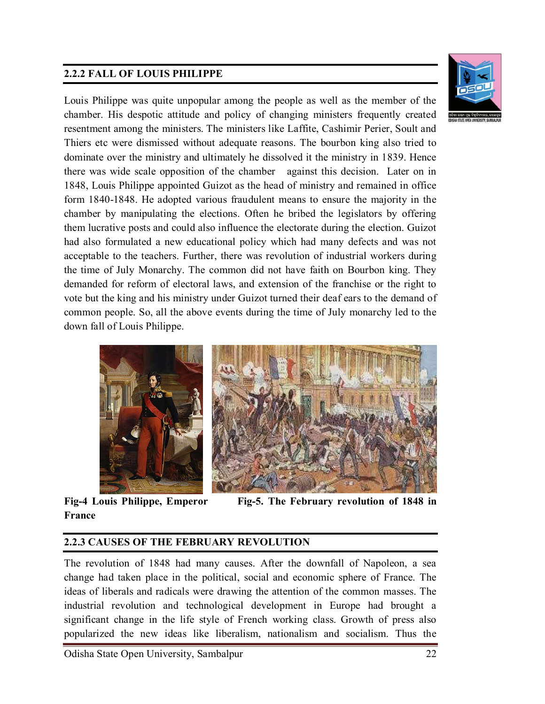# **2.2.2 FALL OF LOUIS PHILIPPE**



Louis Philippe was quite unpopular among the people as well as the member of the chamber. His despotic attitude and policy of changing ministers frequently created resentment among the ministers. The ministers like Laffite, Cashimir Perier, Soult and Thiers etc were dismissed without adequate reasons. The bourbon king also tried to dominate over the ministry and ultimately he dissolved it the ministry in 1839. Hence there was wide scale opposition of the chamber against this decision. Later on in 1848, Louis Philippe appointed Guizot as the head of ministry and remained in office form 1840-1848. He adopted various fraudulent means to ensure the majority in the chamber by manipulating the elections. Often he bribed the legislators by offering them lucrative posts and could also influence the electorate during the election. Guizot had also formulated a new educational policy which had many defects and was not acceptable to the teachers. Further, there was revolution of industrial workers during the time of July Monarchy. The common did not have faith on Bourbon king. They demanded for reform of electoral laws, and extension of the franchise or the right to vote but the king and his ministry under Guizot turned their deaf ears to the demand of common people. So, all the above events during the time of July monarchy led to the down fall of Louis Philippe.



**France**

**Fig-4 Louis Philippe, Emperor Fig-5. The February revolution of 1848 in** 

#### **2.2.3 CAUSES OF THE FEBRUARY REVOLUTION**

The revolution of 1848 had many causes. After the downfall of Napoleon, a sea change had taken place in the political, social and economic sphere of France. The ideas of liberals and radicals were drawing the attention of the common masses. The industrial revolution and technological development in Europe had brought a significant change in the life style of French working class. Growth of press also popularized the new ideas like liberalism, nationalism and socialism. Thus the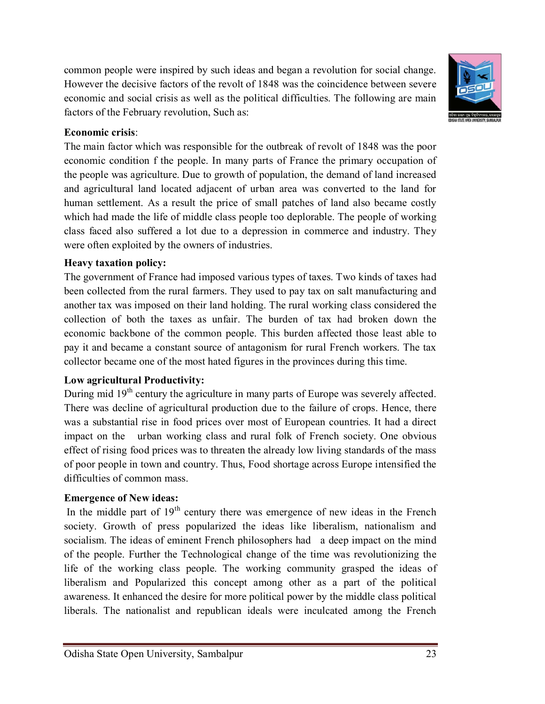common people were inspired by such ideas and began a revolution for social change. However the decisive factors of the revolt of 1848 was the coincidence between severe economic and social crisis as well as the political difficulties. The following are main factors of the February revolution, Such as:



#### **Economic crisis**:

The main factor which was responsible for the outbreak of revolt of 1848 was the poor economic condition f the people. In many parts of France the primary occupation of the people was agriculture. Due to growth of population, the demand of land increased and agricultural land located adjacent of urban area was converted to the land for human settlement. As a result the price of small patches of land also became costly which had made the life of middle class people too deplorable. The people of working class faced also suffered a lot due to a depression in commerce and industry. They were often exploited by the owners of industries.

#### **Heavy taxation policy:**

The government of France had imposed various types of taxes. Two kinds of taxes had been collected from the rural farmers. They used to pay tax on salt manufacturing and another tax was imposed on their land holding. The rural working class considered the collection of both the taxes as unfair. The burden of tax had broken down the economic backbone of the common people. This burden affected those least able to pay it and became a constant source of antagonism for rural French workers. The tax collector became one of the most hated figures in the provinces during this time.

#### **Low agricultural Productivity:**

During mid 19<sup>th</sup> century the agriculture in many parts of Europe was severely affected. There was decline of agricultural production due to the failure of crops. Hence, there was a substantial rise in food prices over most of European countries. It had a direct impact on the urban working class and rural folk of French society. One obvious effect of rising food prices was to threaten the already low living standards of the mass of poor people in town and country. Thus, Food shortage across Europe intensified the difficulties of common mass.

#### **Emergence of New ideas:**

In the middle part of  $19<sup>th</sup>$  century there was emergence of new ideas in the French society. Growth of press popularized the ideas like liberalism, nationalism and socialism. The ideas of eminent French philosophers had a deep impact on the mind of the people. Further the Technological change of the time was revolutionizing the life of the working class people. The working community grasped the ideas of liberalism and Popularized this concept among other as a part of the political awareness. It enhanced the desire for more political power by the middle class political liberals. The nationalist and republican ideals were inculcated among the French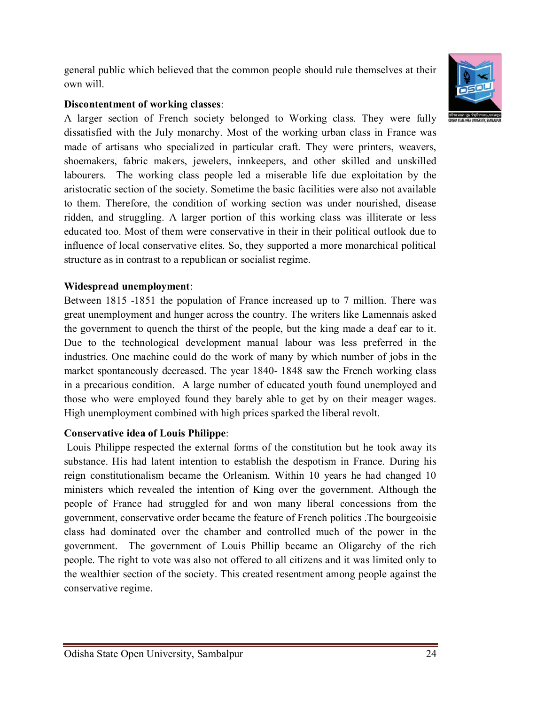general public which believed that the common people should rule themselves at their own will.

#### **Discontentment of working classes**:

A larger section of French society belonged to Working class. They were fully dissatisfied with the July monarchy. Most of the working urban class in France was made of artisans who specialized in particular craft. They were printers, weavers, shoemakers, fabric makers, jewelers, innkeepers, and other skilled and unskilled labourers. The working class people led a miserable life due exploitation by the aristocratic section of the society. Sometime the basic facilities were also not available to them. Therefore, the condition of working section was under nourished, disease ridden, and struggling. A larger portion of this working class was illiterate or less educated too. Most of them were conservative in their in their political outlook due to influence of local conservative elites. So, they supported a more monarchical political structure as in contrast to a republican or socialist regime.

# **Widespread unemployment**:

Between 1815 -1851 the population of France increased up to 7 million. There was great unemployment and hunger across the country. The writers like Lamennais asked the government to quench the thirst of the people, but the king made a deaf ear to it. Due to the technological development manual labour was less preferred in the industries. One machine could do the work of many by which number of jobs in the market spontaneously decreased. The year 1840- 1848 saw the French working class in a precarious condition. A large number of educated youth found unemployed and those who were employed found they barely able to get by on their meager wages. High unemployment combined with high prices sparked the liberal revolt.

# **Conservative idea of Louis Philippe**:

Louis Philippe respected the external forms of the constitution but he took away its substance. His had latent intention to establish the despotism in France. During his reign constitutionalism became the Orleanism. Within 10 years he had changed 10 ministers which revealed the intention of King over the government. Although the people of France had struggled for and won many liberal concessions from the government, conservative order became the feature of French politics .The bourgeoisie class had dominated over the chamber and controlled much of the power in the government. The government of Louis Phillip became an Oligarchy of the rich people. The right to vote was also not offered to all citizens and it was limited only to the wealthier section of the society. This created resentment among people against the conservative regime.



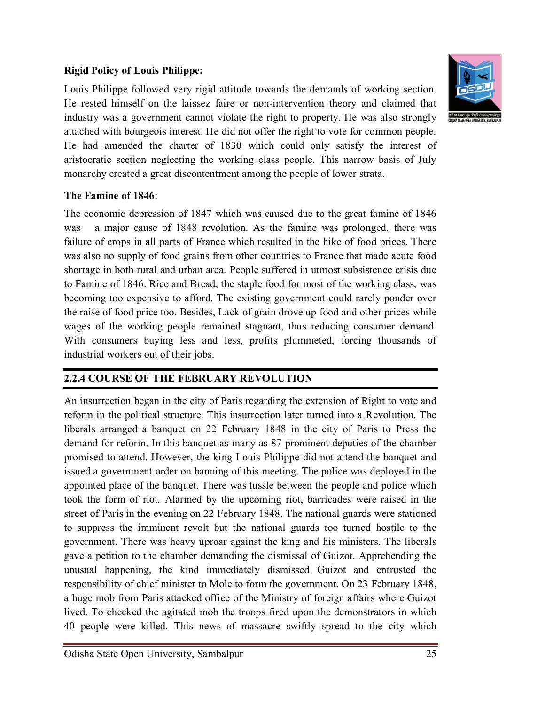#### **Rigid Policy of Louis Philippe:**

Louis Philippe followed very rigid attitude towards the demands of working section. He rested himself on the laissez faire or non-intervention theory and claimed that industry was a government cannot violate the right to property. He was also strongly attached with bourgeois interest. He did not offer the right to vote for common people. He had amended the charter of 1830 which could only satisfy the interest of aristocratic section neglecting the working class people. This narrow basis of July monarchy created a great discontentment among the people of lower strata.

#### **The Famine of 1846**:

The economic depression of 1847 which was caused due to the great famine of 1846 was a major cause of 1848 revolution. As the famine was prolonged, there was failure of crops in all parts of France which resulted in the hike of food prices. There was also no supply of food grains from other countries to France that made acute food shortage in both rural and urban area. People suffered in utmost subsistence crisis due to Famine of 1846. Rice and Bread, the staple food for most of the working class, was becoming too expensive to afford. The existing government could rarely ponder over the raise of food price too. Besides, Lack of grain drove up food and other prices while wages of the working people remained stagnant, thus reducing consumer demand. With consumers buying less and less, profits plummeted, forcing thousands of industrial workers out of their jobs.

#### **2.2.4 COURSE OF THE FEBRUARY REVOLUTION**

An insurrection began in the city of Paris regarding the extension of Right to vote and reform in the political structure. This insurrection later turned into a Revolution. The liberals arranged a banquet on 22 February 1848 in the city of Paris to Press the demand for reform. In this banquet as many as 87 prominent deputies of the chamber promised to attend. However, the king Louis Philippe did not attend the banquet and issued a government order on banning of this meeting. The police was deployed in the appointed place of the banquet. There was tussle between the people and police which took the form of riot. Alarmed by the upcoming riot, barricades were raised in the street of Paris in the evening on 22 February 1848. The national guards were stationed to suppress the imminent revolt but the national guards too turned hostile to the government. There was heavy uproar against the king and his ministers. The liberals gave a petition to the chamber demanding the dismissal of Guizot. Apprehending the unusual happening, the kind immediately dismissed Guizot and entrusted the responsibility of chief minister to Mole to form the government. On 23 February 1848, a huge mob from Paris attacked office of the Ministry of foreign affairs where Guizot lived. To checked the agitated mob the troops fired upon the demonstrators in which 40 people were killed. This news of massacre swiftly spread to the city which

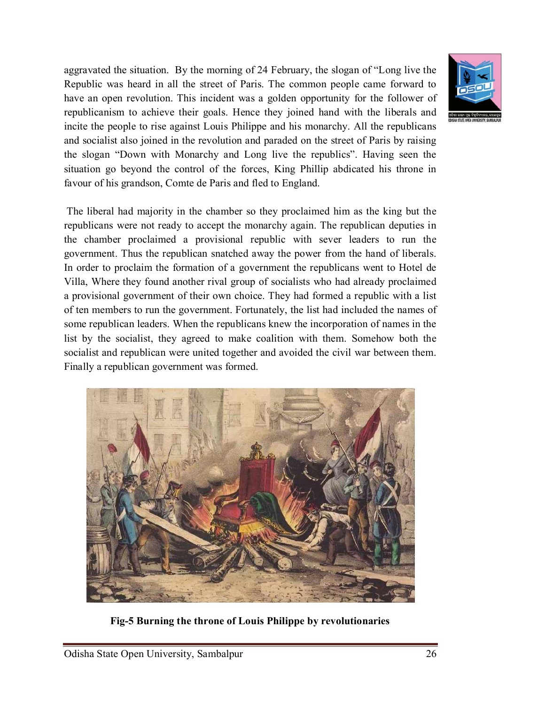aggravated the situation. By the morning of 24 February, the slogan of "Long live the Republic was heard in all the street of Paris. The common people came forward to have an open revolution. This incident was a golden opportunity for the follower of republicanism to achieve their goals. Hence they joined hand with the liberals and incite the people to rise against Louis Philippe and his monarchy. All the republicans and socialist also joined in the revolution and paraded on the street of Paris by raising the slogan "Down with Monarchy and Long live the republics". Having seen the situation go beyond the control of the forces, King Phillip abdicated his throne in favour of his grandson, Comte de Paris and fled to England.



The liberal had majority in the chamber so they proclaimed him as the king but the republicans were not ready to accept the monarchy again. The republican deputies in the chamber proclaimed a provisional republic with sever leaders to run the government. Thus the republican snatched away the power from the hand of liberals. In order to proclaim the formation of a government the republicans went to Hotel de Villa, Where they found another rival group of socialists who had already proclaimed a provisional government of their own choice. They had formed a republic with a list of ten members to run the government. Fortunately, the list had included the names of some republican leaders. When the republicans knew the incorporation of names in the list by the socialist, they agreed to make coalition with them. Somehow both the socialist and republican were united together and avoided the civil war between them. Finally a republican government was formed.



**Fig-5 Burning the throne of Louis Philippe by revolutionaries**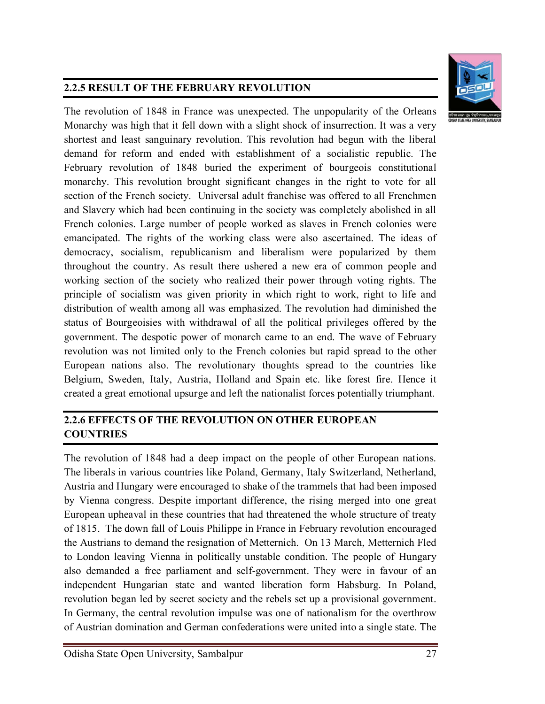

# **2.2.5 RESULT OF THE FEBRUARY REVOLUTION**

The revolution of 1848 in France was unexpected. The unpopularity of the Orleans Monarchy was high that it fell down with a slight shock of insurrection. It was a very shortest and least sanguinary revolution. This revolution had begun with the liberal demand for reform and ended with establishment of a socialistic republic. The February revolution of 1848 buried the experiment of bourgeois constitutional monarchy. This revolution brought significant changes in the right to vote for all section of the French society. Universal adult franchise was offered to all Frenchmen and Slavery which had been continuing in the society was completely abolished in all French colonies. Large number of people worked as slaves in French colonies were emancipated. The rights of the working class were also ascertained. The ideas of democracy, socialism, republicanism and liberalism were popularized by them throughout the country. As result there ushered a new era of common people and working section of the society who realized their power through voting rights. The principle of socialism was given priority in which right to work, right to life and distribution of wealth among all was emphasized. The revolution had diminished the status of Bourgeoisies with withdrawal of all the political privileges offered by the government. The despotic power of monarch came to an end. The wave of February revolution was not limited only to the French colonies but rapid spread to the other European nations also. The revolutionary thoughts spread to the countries like Belgium, Sweden, Italy, Austria, Holland and Spain etc. like forest fire. Hence it created a great emotional upsurge and left the nationalist forces potentially triumphant.

# **2.2.6 EFFECTS OF THE REVOLUTION ON OTHER EUROPEAN COUNTRIES**

The revolution of 1848 had a deep impact on the people of other European nations. The liberals in various countries like Poland, Germany, Italy Switzerland, Netherland, Austria and Hungary were encouraged to shake of the trammels that had been imposed by Vienna congress. Despite important difference, the rising merged into one great European upheaval in these countries that had threatened the whole structure of treaty of 1815. The down fall of Louis Philippe in France in February revolution encouraged the Austrians to demand the resignation of Metternich. On 13 March, Metternich Fled to London leaving Vienna in politically unstable condition. The people of Hungary also demanded a free parliament and self-government. They were in favour of an independent Hungarian state and wanted liberation form Habsburg. In Poland, revolution began led by secret society and the rebels set up a provisional government. In Germany, the central revolution impulse was one of nationalism for the overthrow of Austrian domination and German confederations were united into a single state. The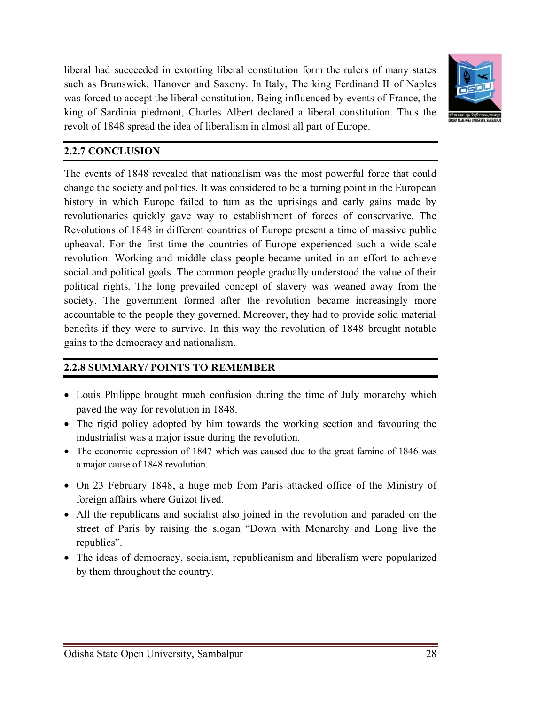liberal had succeeded in extorting liberal constitution form the rulers of many states such as Brunswick, Hanover and Saxony. In Italy, The king Ferdinand II of Naples was forced to accept the liberal constitution. Being influenced by events of France, the king of Sardinia piedmont, Charles Albert declared a liberal constitution. Thus the revolt of 1848 spread the idea of liberalism in almost all part of Europe.



#### **2.2.7 CONCLUSION**

The events of 1848 revealed that nationalism was the most powerful force that could change the society and politics. It was considered to be a turning point in the European history in which Europe failed to turn as the uprisings and early gains made by revolutionaries quickly gave way to establishment of forces of conservative. The Revolutions of 1848 in different countries of Europe present a time of massive public upheaval. For the first time the countries of Europe experienced such a wide scale revolution. Working and middle class people became united in an effort to achieve social and political goals. The common people gradually understood the value of their political rights. The long prevailed concept of slavery was weaned away from the society. The government formed after the revolution became increasingly more accountable to the people they governed. Moreover, they had to provide solid material benefits if they were to survive. In this way the revolution of 1848 brought notable gains to the democracy and nationalism.

#### **2.2.8 SUMMARY/ POINTS TO REMEMBER**

- Louis Philippe brought much confusion during the time of July monarchy which paved the way for revolution in 1848.
- The rigid policy adopted by him towards the working section and favouring the industrialist was a major issue during the revolution.
- The economic depression of 1847 which was caused due to the great famine of 1846 was a major cause of 1848 revolution.
- On 23 February 1848, a huge mob from Paris attacked office of the Ministry of foreign affairs where Guizot lived.
- All the republicans and socialist also joined in the revolution and paraded on the street of Paris by raising the slogan "Down with Monarchy and Long live the republics".
- The ideas of democracy, socialism, republicanism and liberalism were popularized by them throughout the country.